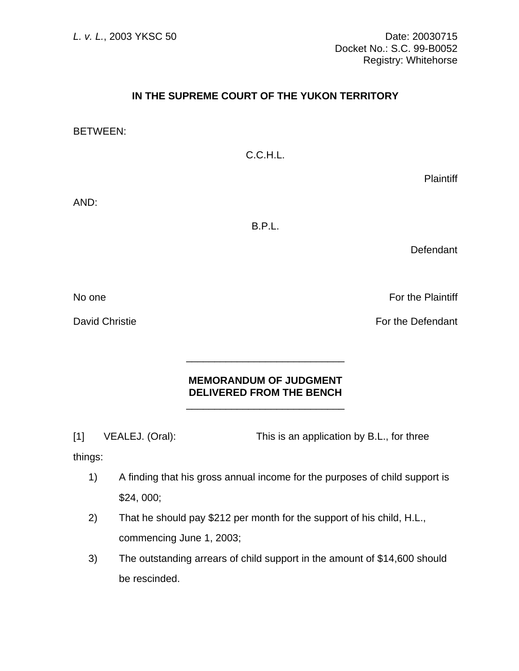## **IN THE SUPREME COURT OF THE YUKON TERRITORY**

BETWEEN:

C.C.H.L.

**Plaintiff** 

AND:

B.P.L.

**Defendant** 

No one For the Plaintiff

David Christie **For the Defendant** 

## **MEMORANDUM OF JUDGMENT DELIVERED FROM THE BENCH**

[1] VEALEJ. (Oral): This is an application by B.L., for three

 $\frac{1}{\sqrt{2\pi}}$  ,  $\frac{1}{\sqrt{2\pi}}$  ,  $\frac{1}{\sqrt{2\pi}}$  ,  $\frac{1}{\sqrt{2\pi}}$  ,  $\frac{1}{\sqrt{2\pi}}$  ,  $\frac{1}{\sqrt{2\pi}}$  ,  $\frac{1}{\sqrt{2\pi}}$  ,  $\frac{1}{\sqrt{2\pi}}$  ,  $\frac{1}{\sqrt{2\pi}}$  ,  $\frac{1}{\sqrt{2\pi}}$  ,  $\frac{1}{\sqrt{2\pi}}$  ,  $\frac{1}{\sqrt{2\pi}}$  ,  $\frac{1}{\sqrt{2\pi}}$  ,

 $\frac{1}{\sqrt{2}}$  ,  $\frac{1}{\sqrt{2}}$  ,  $\frac{1}{\sqrt{2}}$  ,  $\frac{1}{\sqrt{2}}$  ,  $\frac{1}{\sqrt{2}}$  ,  $\frac{1}{\sqrt{2}}$  ,  $\frac{1}{\sqrt{2}}$  ,  $\frac{1}{\sqrt{2}}$  ,  $\frac{1}{\sqrt{2}}$  ,  $\frac{1}{\sqrt{2}}$  ,  $\frac{1}{\sqrt{2}}$  ,  $\frac{1}{\sqrt{2}}$  ,  $\frac{1}{\sqrt{2}}$  ,  $\frac{1}{\sqrt{2}}$  ,  $\frac{1}{\sqrt{2}}$ 

things:

- 1) A finding that his gross annual income for the purposes of child support is \$24, 000;
- 2) That he should pay \$212 per month for the support of his child, H.L., commencing June 1, 2003;
- 3) The outstanding arrears of child support in the amount of \$14,600 should be rescinded.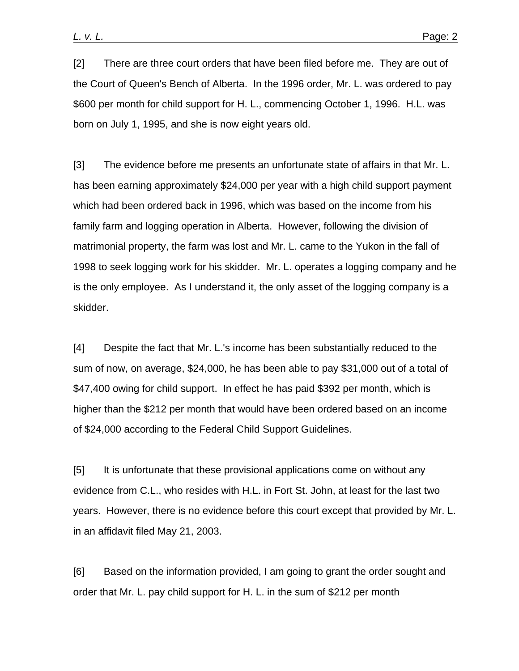[2] There are three court orders that have been filed before me. They are out of the Court of Queen's Bench of Alberta. In the 1996 order, Mr. L. was ordered to pay \$600 per month for child support for H. L., commencing October 1, 1996. H.L. was born on July 1, 1995, and she is now eight years old.

[3] The evidence before me presents an unfortunate state of affairs in that Mr. L. has been earning approximately \$24,000 per year with a high child support payment which had been ordered back in 1996, which was based on the income from his family farm and logging operation in Alberta. However, following the division of matrimonial property, the farm was lost and Mr. L. came to the Yukon in the fall of 1998 to seek logging work for his skidder. Mr. L. operates a logging company and he is the only employee. As I understand it, the only asset of the logging company is a skidder.

[4] Despite the fact that Mr. L.'s income has been substantially reduced to the sum of now, on average, \$24,000, he has been able to pay \$31,000 out of a total of \$47,400 owing for child support. In effect he has paid \$392 per month, which is higher than the \$212 per month that would have been ordered based on an income of \$24,000 according to the Federal Child Support Guidelines.

[5] It is unfortunate that these provisional applications come on without any evidence from C.L., who resides with H.L. in Fort St. John, at least for the last two years. However, there is no evidence before this court except that provided by Mr. L. in an affidavit filed May 21, 2003.

[6] Based on the information provided, I am going to grant the order sought and order that Mr. L. pay child support for H. L. in the sum of \$212 per month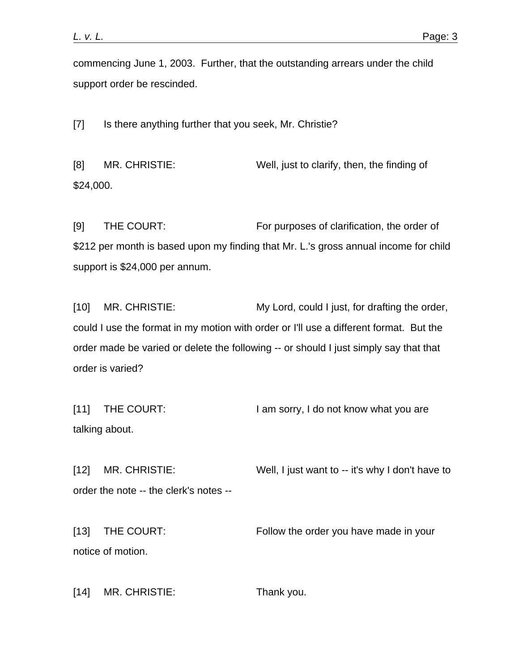commencing June 1, 2003. Further, that the outstanding arrears under the child support order be rescinded.

[7] Is there anything further that you seek, Mr. Christie?

[8] MR. CHRISTIE: Well, just to clarify, then, the finding of \$24,000.

[9] THE COURT: For purposes of clarification, the order of \$212 per month is based upon my finding that Mr. L.'s gross annual income for child support is \$24,000 per annum.

[10] MR. CHRISTIE: My Lord, could I just, for drafting the order, could I use the format in my motion with order or I'll use a different format. But the order made be varied or delete the following -- or should I just simply say that that order is varied?

[11] THE COURT: I am sorry, I do not know what you are talking about.

[12] MR. CHRISTIE: Well, I just want to -- it's why I don't have to order the note -- the clerk's notes --

[13] THE COURT: Follow the order you have made in your notice of motion.

[14] MR. CHRISTIE: Thank you.